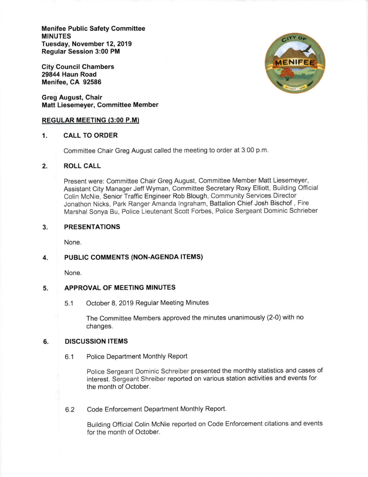Menifee Public Safety Committee MINUTES Tuesday, November 12, 2019 Regular Session 3:00 PM

City Council Chambers 29844 Haun Road Menifee, CA 92586

Greg August, Chair Matt Liesemeyer, Committee Member

## REGULAR MEETING (3:00 P.M)

## 1. CALL TO ORDER

Committee Chair Greg August called the meeting to order at 3:00 p.m

# 2. ROLL CALL

Present were: Committee Chair Greg August, Committee Member Matt Liesemeyer, Assistant City Manager Jeff Wyman, Committee Secretary Roxy Elliott, Building Official Colin McNie, Senior Traffic Engineer Rob Blough, Community Services Director Jonathon Nicks, Park Ranger Amanda lngraham, Battalion Chief Josh Bischof , Fire Marshal Sonya Bu, Police Lieutenant Scott Forbes, Police Sergeant Dominic Schrieber

#### PRESENTATIONS 3

None.

#### PUBLIC COMMENTS (NON-AGENDA ITEMS) 4.

None.

#### APPROVAL OF MEETING MINUTES 5

5.1 October 8, 2019 Regular Meeting Minutes

The Committee Members approved the minutes unanimously (2-0) with no changes.

#### DISCUSSION ITEMS 6

6.1 Police Department Monthly Report

Police Sergeant Dominic Schreiber presented the monthly statistics and cases of interest. Sergeant Shreiber reported on various station activities and events for the month of October.

Code Enforcement Department Monthly Report. 6.2

> Building Official Colin McNie reported on Code Enforcement citations and events for the month of October.

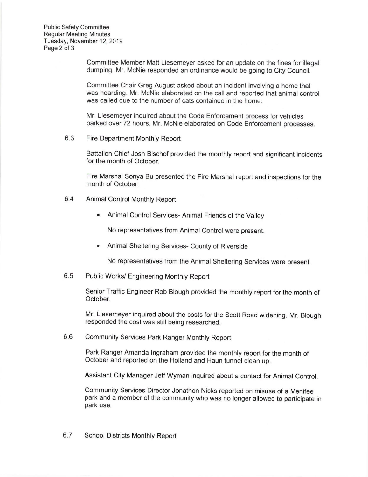Public Safety Committee Regular Meeting Minutes Tuesday, November 12, 2019 Page 2 of 3

> Committee Member Matt Liesemeyer asked for an update on the fines for illegal dumping. Mr. McNie responded an ordinance would be going to City Council.

> Committee Chair Greg August asked about an incident involving a home that was hoarding. Mr. McNie elaborated on the call and reported that animal control was called due to the number of cats contained in the home.

Mr. Liesemeyer inquired about the Code Enforcement process for vehicles parked over 72 hours. Mr. McNie elaborated on Code Enforcement processes

6.3 Fire Department Monthly Report

Battalion Chief Josh Bischof provided the monthly report and significant incidents for the month of October.

Fire Marshal Sonya Bu presented the Fire Marshal report and inspections for the month of October.

- 6.4 Animal Control Monthly Report
	- . Animal Control Services- Animal Friends of the Valley

No representatives from Animal Control were present.

. Animal Sheltering Services- County of Riverside

No representatives from the Animal Sheltering Services were present.

Public Works/ Engineering Monthly Report 6.5

> Senior Traffic Engineer Rob Blough provided the monthly report for the month of October.

> Mr. Liesemeyer inquired about the costs for the Scott Road widening. Mr. Blough responded the cost was still being researched.

6.6 Community Services Park Ranger Monthly Report

> Park Ranger Amanda lngraham provided the monthly report for the month of October and reported on the Holland and Haun tunnel clean up.

Assistant City Manager Jeff Wyman inquired about a contact for Animal Control.

Community Services Director Jonathon Nicks reported on misuse of a Menifee park and a member of the community who was no longer allowed to participate in park use.

6.7 School Districts Monthly Report